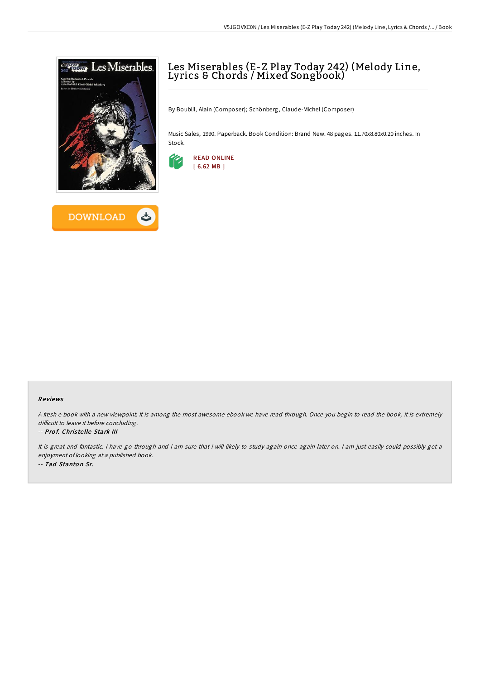



# Les Miserables (E-Z Play Today 242) (Melody Line, Lyrics & Chords / Mixed Songbook)

By Boublil, Alain (Composer); Schönberg, Claude-Michel (Composer)

Music Sales, 1990. Paperback. Book Condition: Brand New. 48 pages. 11.70x8.80x0.20 inches. In Stock.



## Re views

<sup>A</sup> fresh <sup>e</sup> book with <sup>a</sup> new viewpoint. It is among the most awesome ebook we have read through. Once you begin to read the book, it is extremely difficult to leave it before concluding.

## -- Prof. Christelle Stark III

It is great and fantastic. <sup>I</sup> have go through and i am sure that i will likely to study again once again later on. <sup>I</sup> am just easily could possibly get <sup>a</sup> enjoyment of looking at <sup>a</sup> published book. -- Tad Stanton Sr.